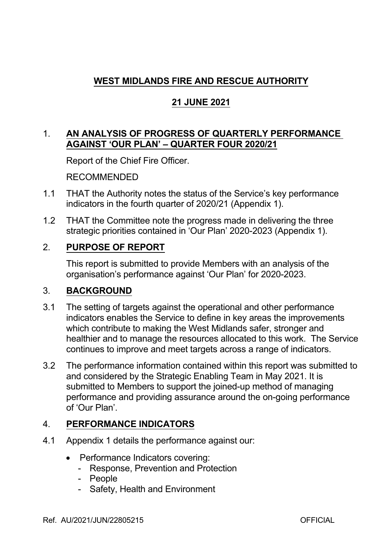# **WEST MIDLANDS FIRE AND RESCUE AUTHORITY**

# **21 JUNE 2021**

## 1. **AN ANALYSIS OF PROGRESS OF QUARTERLY PERFORMANCE AGAINST 'OUR PLAN' – QUARTER FOUR 2020/21**

Report of the Chief Fire Officer.

RECOMMENDED

- 1.1 THAT the Authority notes the status of the Service's key performance indicators in the fourth quarter of 2020/21 (Appendix 1).
- 1.2 THAT the Committee note the progress made in delivering the three strategic priorities contained in 'Our Plan' 2020-2023 (Appendix 1).

## 2. **PURPOSE OF REPORT**

This report is submitted to provide Members with an analysis of the organisation's performance against 'Our Plan' for 2020-2023.

## 3. **BACKGROUND**

- 3.1 The setting of targets against the operational and other performance indicators enables the Service to define in key areas the improvements which contribute to making the West Midlands safer, stronger and healthier and to manage the resources allocated to this work. The Service continues to improve and meet targets across a range of indicators.
- 3.2 The performance information contained within this report was submitted to and considered by the Strategic Enabling Team in May 2021. It is submitted to Members to support the joined-up method of managing performance and providing assurance around the on-going performance of 'Our Plan'.

## 4. **PERFORMANCE INDICATORS**

- 4.1 Appendix 1 details the performance against our:
	- Performance Indicators covering:
		- Response, Prevention and Protection
		- People
		- Safety, Health and Environment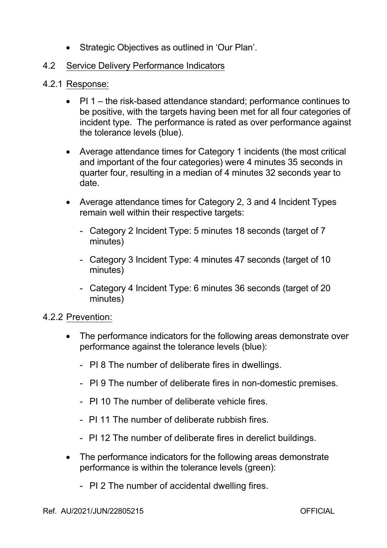- Strategic Objectives as outlined in 'Our Plan'.
- 4.2 Service Delivery Performance Indicators
- 4.2.1 Response:
	- $\bullet$  PI 1 the risk-based attendance standard; performance continues to be positive, with the targets having been met for all four categories of incident type. The performance is rated as over performance against the tolerance levels (blue).
	- Average attendance times for Category 1 incidents (the most critical and important of the four categories) were 4 minutes 35 seconds in quarter four, resulting in a median of 4 minutes 32 seconds year to date.
	- Average attendance times for Category 2, 3 and 4 Incident Types remain well within their respective targets:
		- Category 2 Incident Type: 5 minutes 18 seconds (target of 7 minutes)
		- Category 3 Incident Type: 4 minutes 47 seconds (target of 10 minutes)
		- Category 4 Incident Type: 6 minutes 36 seconds (target of 20 minutes)

## 4.2.2 Prevention:

- The performance indicators for the following areas demonstrate over performance against the tolerance levels (blue):
	- PI 8 The number of deliberate fires in dwellings.
	- PI 9 The number of deliberate fires in non-domestic premises.
	- PI 10 The number of deliberate vehicle fires.
	- PI 11 The number of deliberate rubbish fires.
	- PI 12 The number of deliberate fires in derelict buildings.
- The performance indicators for the following areas demonstrate performance is within the tolerance levels (green):
	- PI 2 The number of accidental dwelling fires.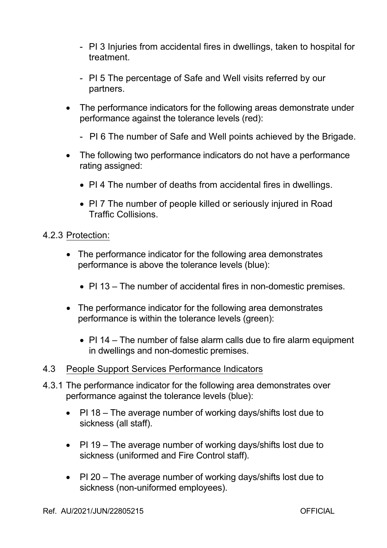- PI 3 Injuries from accidental fires in dwellings, taken to hospital for treatment.
- PI 5 The percentage of Safe and Well visits referred by our partners.
- The performance indicators for the following areas demonstrate under performance against the tolerance levels (red):
	- PI 6 The number of Safe and Well points achieved by the Brigade.
- The following two performance indicators do not have a performance rating assigned:
	- PI 4 The number of deaths from accidental fires in dwellings.
	- PI 7 The number of people killed or seriously injured in Road Traffic Collisions.

#### 4.2.3 Protection:

- The performance indicator for the following area demonstrates performance is above the tolerance levels (blue):
	- $\bullet$  PI 13 The number of accidental fires in non-domestic premises.
- The performance indicator for the following area demonstrates performance is within the tolerance levels (green):
	- $\bullet$  PI 14 The number of false alarm calls due to fire alarm equipment in dwellings and non-domestic premises.

#### 4.3 People Support Services Performance Indicators

- 4.3.1 The performance indicator for the following area demonstrates over performance against the tolerance levels (blue):
	- PI 18 The average number of working days/shifts lost due to sickness (all staff).
	- PI 19 The average number of working days/shifts lost due to sickness (uniformed and Fire Control staff).
	- PI 20 The average number of working days/shifts lost due to sickness (non-uniformed employees).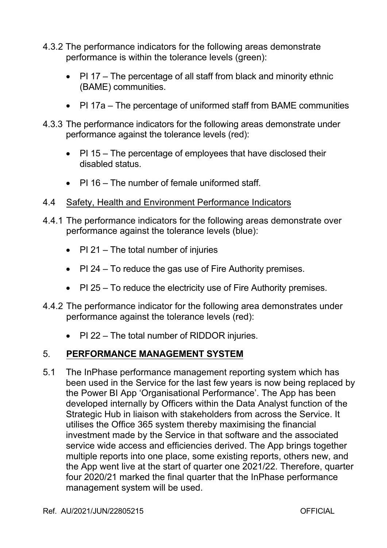- 4.3.2 The performance indicators for the following areas demonstrate performance is within the tolerance levels (green):
	- PI 17 The percentage of all staff from black and minority ethnic (BAME) communities.
	- PI 17a The percentage of uniformed staff from BAME communities
- 4.3.3 The performance indicators for the following areas demonstrate under performance against the tolerance levels (red):
	- PI 15 The percentage of employees that have disclosed their disabled status.
	- PI 16 The number of female uniformed staff.
- 4.4 Safety, Health and Environment Performance Indicators
- 4.4.1 The performance indicators for the following areas demonstrate over performance against the tolerance levels (blue):
	- PI 21 The total number of injuries
	- PI 24 To reduce the gas use of Fire Authority premises.
	- PI 25 To reduce the electricity use of Fire Authority premises.
- 4.4.2 The performance indicator for the following area demonstrates under performance against the tolerance levels (red):
	- PI 22 The total number of RIDDOR injuries.

## 5. **PERFORMANCE MANAGEMENT SYSTEM**

5.1 The InPhase performance management reporting system which has been used in the Service for the last few years is now being replaced by the Power BI App 'Organisational Performance'. The App has been developed internally by Officers within the Data Analyst function of the Strategic Hub in liaison with stakeholders from across the Service. It utilises the Office 365 system thereby maximising the financial investment made by the Service in that software and the associated service wide access and efficiencies derived. The App brings together multiple reports into one place, some existing reports, others new, and the App went live at the start of quarter one 2021/22. Therefore, quarter four 2020/21 marked the final quarter that the InPhase performance management system will be used.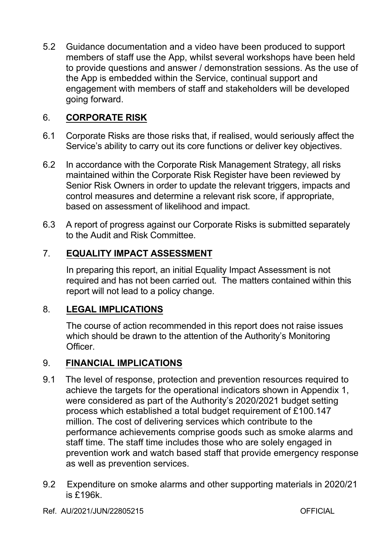5.2 Guidance documentation and a video have been produced to support members of staff use the App, whilst several workshops have been held to provide questions and answer / demonstration sessions. As the use of the App is embedded within the Service, continual support and engagement with members of staff and stakeholders will be developed going forward.

## 6. **CORPORATE RISK**

- 6.1 Corporate Risks are those risks that, if realised, would seriously affect the Service's ability to carry out its core functions or deliver key objectives.
- 6.2 In accordance with the Corporate Risk Management Strategy, all risks maintained within the Corporate Risk Register have been reviewed by Senior Risk Owners in order to update the relevant triggers, impacts and control measures and determine a relevant risk score, if appropriate, based on assessment of likelihood and impact.
- 6.3 A report of progress against our Corporate Risks is submitted separately to the Audit and Risk Committee.

## 7. **EQUALITY IMPACT ASSESSMENT**

In preparing this report, an initial Equality Impact Assessment is not required and has not been carried out. The matters contained within this report will not lead to a policy change.

## 8. **LEGAL IMPLICATIONS**

The course of action recommended in this report does not raise issues which should be drawn to the attention of the Authority's Monitoring Officer.

#### 9. **FINANCIAL IMPLICATIONS**

- 9.1 The level of response, protection and prevention resources required to achieve the targets for the operational indicators shown in Appendix 1, were considered as part of the Authority's 2020/2021 budget setting process which established a total budget requirement of £100.147 million. The cost of delivering services which contribute to the performance achievements comprise goods such as smoke alarms and staff time. The staff time includes those who are solely engaged in prevention work and watch based staff that provide emergency response as well as prevention services.
- 9.2 Expenditure on smoke alarms and other supporting materials in 2020/21 is £196k.